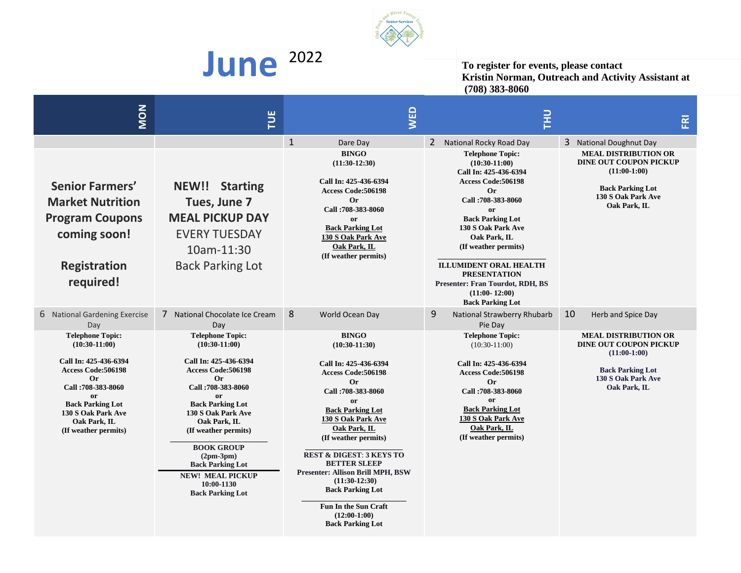

**June** 2022 **To register for events, please contact Kristin Norman, Outreach and Activity Assistant at (708) 383-8060**

| <b>NON</b>                                                                                                                                                                                                                                    | E                                                                                                                                                                                                                                                                                                                                                               | <b>NED</b>                                                                                                                                                                                                                                                                                                                                                                                                                                     | <b>TH</b>                                                                                                                                                                                                                                                                                                                                                                      | $\overline{\mathbb{E}}$                                                                                                                         |
|-----------------------------------------------------------------------------------------------------------------------------------------------------------------------------------------------------------------------------------------------|-----------------------------------------------------------------------------------------------------------------------------------------------------------------------------------------------------------------------------------------------------------------------------------------------------------------------------------------------------------------|------------------------------------------------------------------------------------------------------------------------------------------------------------------------------------------------------------------------------------------------------------------------------------------------------------------------------------------------------------------------------------------------------------------------------------------------|--------------------------------------------------------------------------------------------------------------------------------------------------------------------------------------------------------------------------------------------------------------------------------------------------------------------------------------------------------------------------------|-------------------------------------------------------------------------------------------------------------------------------------------------|
|                                                                                                                                                                                                                                               |                                                                                                                                                                                                                                                                                                                                                                 | $\mathbf{1}$<br>Dare Day                                                                                                                                                                                                                                                                                                                                                                                                                       | 2 National Rocky Road Day                                                                                                                                                                                                                                                                                                                                                      | 3 National Doughnut Day                                                                                                                         |
| <b>Senior Farmers'</b><br><b>Market Nutrition</b><br><b>Program Coupons</b><br>coming soon!<br><b>Registration</b><br>required!                                                                                                               | <b>NEW!! Starting</b><br>Tues, June 7<br><b>MEAL PICKUP DAY</b><br><b>EVERY TUESDAY</b><br>10am-11:30<br><b>Back Parking Lot</b>                                                                                                                                                                                                                                | <b>BINGO</b><br>$(11:30-12:30)$<br>Call In: 425-436-6394<br><b>Access Code:506198</b><br><b>Or</b><br>Call: 708-383-8060<br><b>or</b><br><b>Back Parking Lot</b><br>130 S Oak Park Ave<br>Oak Park, IL<br>(If weather permits)                                                                                                                                                                                                                 | <b>Telephone Topic:</b><br>$(10:30-11:00)$<br>Call In: 425-436-6394<br>Access Code:506198<br><b>Or</b><br>Call: 708-383-8060<br><b>or</b><br><b>Back Parking Lot</b><br>130 S Oak Park Ave<br>Oak Park, IL<br>(If weather permits)<br><b>ILLUMIDENT ORAL HEALTH</b><br><b>PRESENTATION</b><br>Presenter: Fran Tourdot, RDH, BS<br>$(11:00 - 12:00)$<br><b>Back Parking Lot</b> | <b>MEAL DISTRIBUTION OR</b><br><b>DINE OUT COUPON PICKUP</b><br>$(11:00-1:00)$<br><b>Back Parking Lot</b><br>130 S Oak Park Ave<br>Oak Park, IL |
| 6 National Gardening Exercise<br>Day                                                                                                                                                                                                          | 7 National Chocolate Ice Cream<br>Day                                                                                                                                                                                                                                                                                                                           | 8<br>World Ocean Day                                                                                                                                                                                                                                                                                                                                                                                                                           | 9<br>National Strawberry Rhubarb<br>Pie Day                                                                                                                                                                                                                                                                                                                                    | 10<br>Herb and Spice Day                                                                                                                        |
| <b>Telephone Topic:</b><br>$(10:30-11:00)$<br>Call In: 425-436-6394<br><b>Access Code:506198</b><br><b>Or</b><br>Call: 708-383-8060<br><sub>or</sub><br><b>Back Parking Lot</b><br>130 S Oak Park Ave<br>Oak Park, IL<br>(If weather permits) | <b>Telephone Topic:</b><br>$(10:30-11:00)$<br>Call In: 425-436-6394<br>Access Code: 506198<br><b>Or</b><br>Call: 708-383-8060<br>0r<br><b>Back Parking Lot</b><br>130 S Oak Park Ave<br>Oak Park, IL<br>(If weather permits)<br><b>BOOK GROUP</b><br>$(2pm-3pm)$<br><b>Back Parking Lot</b><br><b>NEW! MEAL PICKUP</b><br>10:00-1130<br><b>Back Parking Lot</b> | <b>BINGO</b><br>$(10:30-11:30)$<br>Call In: 425-436-6394<br><b>Access Code:506198</b><br>Or.<br>Call: 708-383-8060<br>0r<br><b>Back Parking Lot</b><br>130 S Oak Park Ave<br>Oak Park, IL<br>(If weather permits)<br><b>REST &amp; DIGEST: 3 KEYS TO</b><br><b>BETTER SLEEP</b><br><b>Presenter: Allison Brill MPH, BSW</b><br>$(11:30-12:30)$<br><b>Back Parking Lot</b><br>Fun In the Sun Craft<br>$(12:00-1:00)$<br><b>Back Parking Lot</b> | <b>Telephone Topic:</b><br>$(10:30-11:00)$<br>Call In: 425-436-6394<br><b>Access Code:506198</b><br>Or<br>Call: 708-383-8060<br>or<br><b>Back Parking Lot</b><br>130 S Oak Park Ave<br>Oak Park, IL<br>(If weather permits)                                                                                                                                                    | <b>MEAL DISTRIBUTION OR</b><br><b>DINE OUT COUPON PICKUP</b><br>$(11:00-1:00)$<br><b>Back Parking Lot</b><br>130 S Oak Park Ave<br>Oak Park, IL |